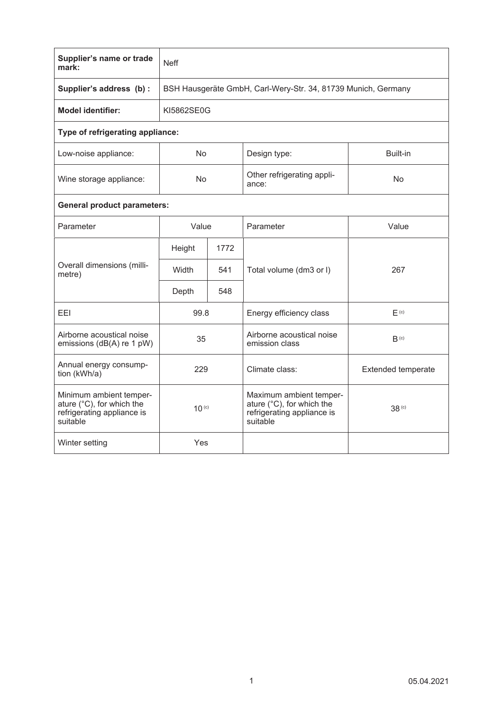| Supplier's name or trade<br>mark:                                                              | <b>Neff</b>                                                   |      |                                                                                                |                           |  |  |  |  |
|------------------------------------------------------------------------------------------------|---------------------------------------------------------------|------|------------------------------------------------------------------------------------------------|---------------------------|--|--|--|--|
| Supplier's address (b) :                                                                       | BSH Hausgeräte GmbH, Carl-Wery-Str. 34, 81739 Munich, Germany |      |                                                                                                |                           |  |  |  |  |
| <b>Model identifier:</b>                                                                       | KI5862SE0G                                                    |      |                                                                                                |                           |  |  |  |  |
| Type of refrigerating appliance:                                                               |                                                               |      |                                                                                                |                           |  |  |  |  |
| Low-noise appliance:                                                                           | No.                                                           |      | Design type:                                                                                   | Built-in                  |  |  |  |  |
| Wine storage appliance:                                                                        | No                                                            |      | Other refrigerating appli-<br>ance:                                                            | No                        |  |  |  |  |
| <b>General product parameters:</b>                                                             |                                                               |      |                                                                                                |                           |  |  |  |  |
| Parameter                                                                                      | Value                                                         |      | Parameter                                                                                      | Value                     |  |  |  |  |
| Overall dimensions (milli-<br>metre)                                                           | Height                                                        | 1772 |                                                                                                |                           |  |  |  |  |
|                                                                                                | Width                                                         | 541  | Total volume (dm3 or I)                                                                        | 267                       |  |  |  |  |
|                                                                                                | Depth                                                         | 548  |                                                                                                |                           |  |  |  |  |
| <b>FFI</b>                                                                                     | 99.8                                                          |      | Energy efficiency class                                                                        | F <sub>(c)</sub>          |  |  |  |  |
| Airborne acoustical noise<br>emissions (dB(A) re 1 pW)                                         | 35                                                            |      | Airborne acoustical noise<br>emission class                                                    | $B^{(c)}$                 |  |  |  |  |
| Annual energy consump-<br>tion (kWh/a)                                                         | 229                                                           |      | Climate class:                                                                                 | <b>Extended temperate</b> |  |  |  |  |
| Minimum ambient temper-<br>ature (°C), for which the<br>refrigerating appliance is<br>suitable | $10^{(c)}$                                                    |      | Maximum ambient temper-<br>ature (°C), for which the<br>refrigerating appliance is<br>suitable | 38 <sup>(c)</sup>         |  |  |  |  |
| Winter setting                                                                                 | Yes                                                           |      |                                                                                                |                           |  |  |  |  |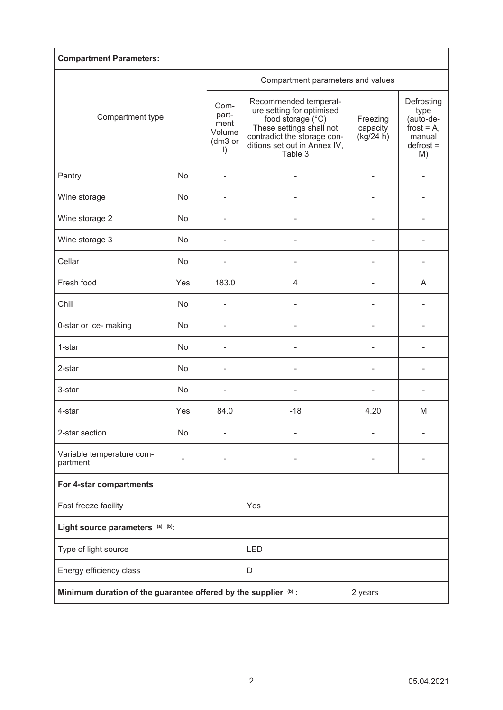| <b>Compartment Parameters:</b>                                  |           |                                                       |                                                                                                                                                                               |                                   |                                                                                 |  |  |  |
|-----------------------------------------------------------------|-----------|-------------------------------------------------------|-------------------------------------------------------------------------------------------------------------------------------------------------------------------------------|-----------------------------------|---------------------------------------------------------------------------------|--|--|--|
| Compartment type                                                |           |                                                       | Compartment parameters and values                                                                                                                                             |                                   |                                                                                 |  |  |  |
|                                                                 |           | Com-<br>part-<br>ment<br>Volume<br>(dm3 or<br>$\vert$ | Recommended temperat-<br>ure setting for optimised<br>food storage (°C)<br>These settings shall not<br>contradict the storage con-<br>ditions set out in Annex IV,<br>Table 3 | Freezing<br>capacity<br>(kg/24 h) | Defrosting<br>type<br>(auto-de-<br>frost = $A$ ,<br>manual<br>$defrost =$<br>M) |  |  |  |
| Pantry                                                          | No        |                                                       |                                                                                                                                                                               |                                   |                                                                                 |  |  |  |
| Wine storage                                                    | No        |                                                       |                                                                                                                                                                               |                                   |                                                                                 |  |  |  |
| Wine storage 2                                                  | No        | ä,                                                    |                                                                                                                                                                               |                                   |                                                                                 |  |  |  |
| Wine storage 3                                                  | No        | ٠                                                     |                                                                                                                                                                               |                                   |                                                                                 |  |  |  |
| Cellar                                                          | No        | ۰                                                     |                                                                                                                                                                               | ٠                                 |                                                                                 |  |  |  |
| Fresh food                                                      | Yes       | 183.0                                                 | 4                                                                                                                                                                             | $\overline{a}$                    | A                                                                               |  |  |  |
| Chill                                                           | No        | $\overline{a}$                                        |                                                                                                                                                                               | L                                 |                                                                                 |  |  |  |
| 0-star or ice- making                                           | No        |                                                       |                                                                                                                                                                               |                                   |                                                                                 |  |  |  |
| 1-star                                                          | No        |                                                       |                                                                                                                                                                               |                                   |                                                                                 |  |  |  |
| 2-star                                                          | No        |                                                       |                                                                                                                                                                               |                                   |                                                                                 |  |  |  |
| 3-star                                                          | <b>No</b> |                                                       |                                                                                                                                                                               |                                   |                                                                                 |  |  |  |
| 4-star                                                          | Yes       | 84.0                                                  | $-18$                                                                                                                                                                         | 4.20                              | M                                                                               |  |  |  |
| 2-star section                                                  | No        |                                                       |                                                                                                                                                                               |                                   |                                                                                 |  |  |  |
| Variable temperature com-<br>partment                           |           |                                                       |                                                                                                                                                                               |                                   |                                                                                 |  |  |  |
| For 4-star compartments                                         |           |                                                       |                                                                                                                                                                               |                                   |                                                                                 |  |  |  |
| Fast freeze facility                                            |           |                                                       | Yes                                                                                                                                                                           |                                   |                                                                                 |  |  |  |
| Light source parameters (a) (b):                                |           |                                                       |                                                                                                                                                                               |                                   |                                                                                 |  |  |  |
| Type of light source                                            |           |                                                       | LED                                                                                                                                                                           |                                   |                                                                                 |  |  |  |
| Energy efficiency class                                         |           |                                                       | D                                                                                                                                                                             |                                   |                                                                                 |  |  |  |
| Minimum duration of the guarantee offered by the supplier (b) : |           |                                                       | 2 years                                                                                                                                                                       |                                   |                                                                                 |  |  |  |